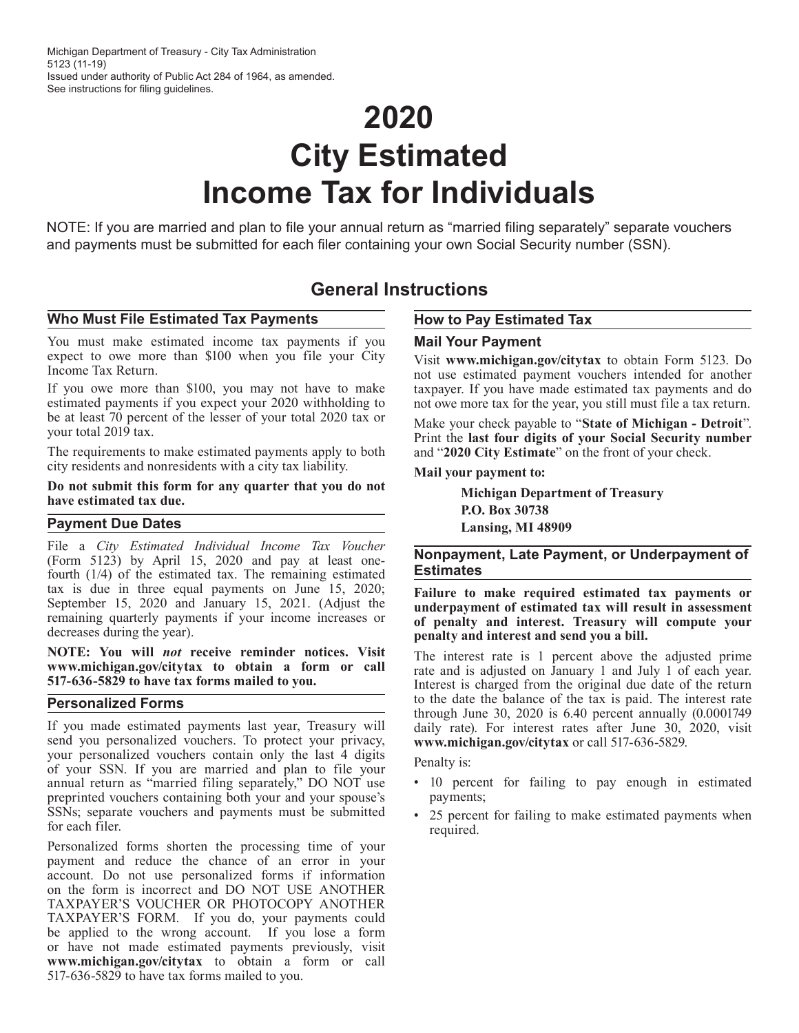# **2020 City Estimated Income Tax for Individuals**

NOTE: If you are married and plan to file your annual return as "married filing separately" separate vouchers and payments must be submitted for each filer containing your own Social Security number (SSN).

### **General Instructions**

### Who Must File Estimated Tax Payments **How to Pay Estimated Tax**

You must make estimated income tax payments if you **Mail Your Payment** expect to owe more than \$100 when you file your City Visit **www.michigan.gov/citytax** to obtain Form 5123. Do<br>Income Tax Return.

If you owe more than \$100, you may not have to make taxpayer. If you have made estimated tax payments and do estimated payments if you expect your 2020 withholding to not owe more tax for the year, you still must file a tax return.<br>be at least 70 percent of the lesser of your total 2020 tax or<br>Make your check payable to "State of

The requirements to make estimated payments apply to both city residents and nonresidents with a city tax liability. **Mail your payment to:**

## Do not submit this form for any quarter that you do not<br>have estimated tax due.<br>**P.O. Box 30738**

### **Payment Due Dates**<br> **Example 2018** Lansing, MI 48909

File a *City Estimated Individual Income Tax Voucher* Fire a Stry Estimated Individual Income Tax Foucher<br>(Form 5123) by April 15, 2020 and pay at least one-<br>fourth (1/4) of the estimated toy The remaining estimates<br>**Estimates** fourth  $(1/4)$  of the estimated tax. The remaining estimated tax is due in three equal payments on June 15, 2020;

**NOTE:** You will *not* receive reminder notices. Visit<br>www.michigan.gov/citytax to obtain a form or call<br>517-636-5829 to have tax forms mailed to you.<br>The rest is charged from the original due date of the return

If you made estimated payments last year, Treasury will<br>send you personalized vouchers. To protect your privacy,<br>your personalized vouchers contain only the last 4 digits<br> $\frac{1}{2}$   $\frac{1}{2}$   $\frac{1}{2}$   $\frac{1}{2}$   $\frac{1}{2}$  your personalized vouchers contain only the last 4 digits Penalty is:<br>of your SSN. If you are married and plan to file your<br>annual return as "married filing separately," DO NOT use . 10 percent for failing to pay enough in annual return as "married filing separately," DO NOT use preprinted vouchers containing both your and your spouse's payments; SSNs; separate vouchers and payments must be submitted • 25 percent for failing to make estimated payments when required.

Personalized forms shorten the processing time of your payment and reduce the chance of an error in your account. Do not use personalized forms if information on the form is incorrect and DO NOT USE ANOTHER TAXPAYER'S VOUCHER OR PHOTOCOPY ANOTHER TAXPAYER'S FORM. If you do, your payments could be applied to the wrong account. If you lose a form or have not made estimated payments previously, visit **www.michigan.gov/citytax** to obtain a form or call 517-636-5829 to have tax forms mailed to you.

not use estimated payment vouchers intended for another

be at least 70 percent of the lesser of your total 2020 tax or<br>your total 2019 tax. Print the **last four digits of your Social Security number**<br>The requirements to make estimated payments apply to both and "2020 City Estim

Example 15, 2020 and January 15, 2021. (Adjust the state of penalty and interest. Treasury will compute your<br>decreases during the year). The state of penalty and interest. Treasury will compute your<br>decreases during the ye

**Personalized Forms** to the date the balance of the tax is paid. The interest rate through June 30, 2020 is 6.40 percent annually (0.0001749)

- 
-